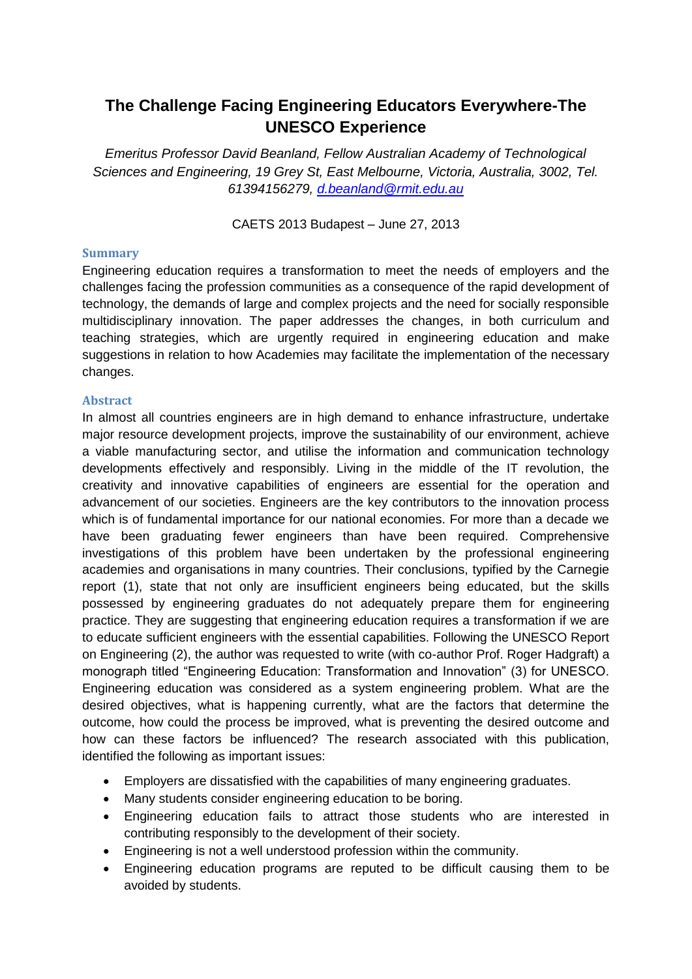## **The Challenge Facing Engineering Educators Everywhere-The UNESCO Experience**

*Emeritus Professor David Beanland, Fellow Australian Academy of Technological Sciences and Engineering, 19 Grey St, East Melbourne, Victoria, Australia, 3002, Tel. 61394156279, [d.beanland@rmit.edu.au](mailto:d.beanland@rmit.edu.au)*

CAETS 2013 Budapest – June 27, 2013

## **Summary**

Engineering education requires a transformation to meet the needs of employers and the challenges facing the profession communities as a consequence of the rapid development of technology, the demands of large and complex projects and the need for socially responsible multidisciplinary innovation. The paper addresses the changes, in both curriculum and teaching strategies, which are urgently required in engineering education and make suggestions in relation to how Academies may facilitate the implementation of the necessary changes.

## **Abstract**

In almost all countries engineers are in high demand to enhance infrastructure, undertake major resource development projects, improve the sustainability of our environment, achieve a viable manufacturing sector, and utilise the information and communication technology developments effectively and responsibly. Living in the middle of the IT revolution, the creativity and innovative capabilities of engineers are essential for the operation and advancement of our societies. Engineers are the key contributors to the innovation process which is of fundamental importance for our national economies. For more than a decade we have been graduating fewer engineers than have been required. Comprehensive investigations of this problem have been undertaken by the professional engineering academies and organisations in many countries. Their conclusions, typified by the Carnegie report (1), state that not only are insufficient engineers being educated, but the skills possessed by engineering graduates do not adequately prepare them for engineering practice. They are suggesting that engineering education requires a transformation if we are to educate sufficient engineers with the essential capabilities. Following the UNESCO Report on Engineering (2), the author was requested to write (with co-author Prof. Roger Hadgraft) a monograph titled "Engineering Education: Transformation and Innovation" (3) for UNESCO. Engineering education was considered as a system engineering problem. What are the desired objectives, what is happening currently, what are the factors that determine the outcome, how could the process be improved, what is preventing the desired outcome and how can these factors be influenced? The research associated with this publication, identified the following as important issues:

- Employers are dissatisfied with the capabilities of many engineering graduates.
- Many students consider engineering education to be boring.
- Engineering education fails to attract those students who are interested in contributing responsibly to the development of their society.
- Engineering is not a well understood profession within the community.
- Engineering education programs are reputed to be difficult causing them to be avoided by students.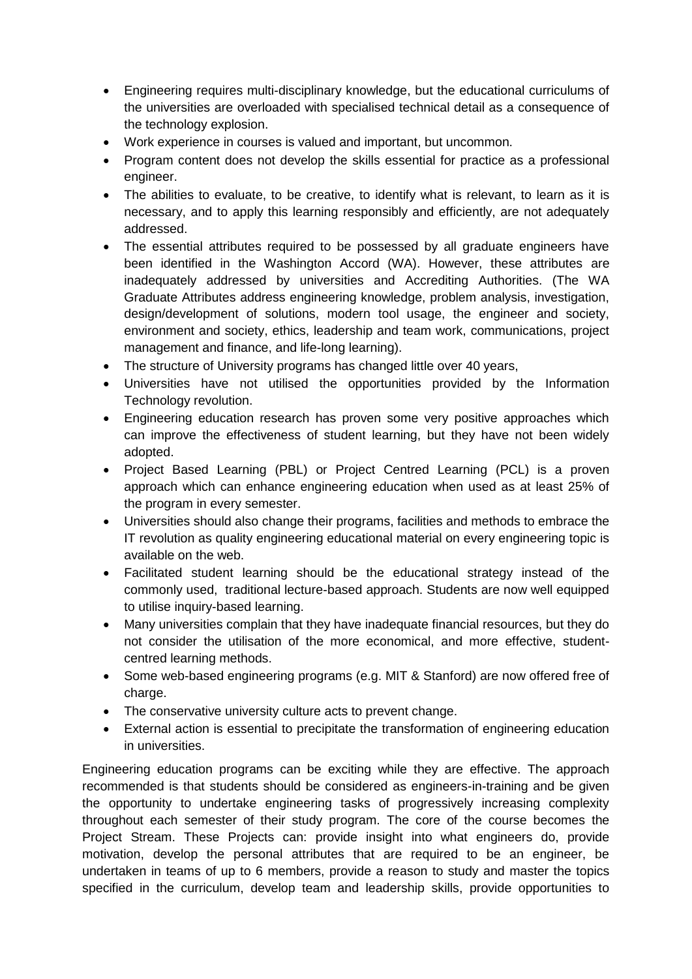- Engineering requires multi-disciplinary knowledge, but the educational curriculums of the universities are overloaded with specialised technical detail as a consequence of the technology explosion.
- Work experience in courses is valued and important, but uncommon.
- Program content does not develop the skills essential for practice as a professional engineer.
- The abilities to evaluate, to be creative, to identify what is relevant, to learn as it is necessary, and to apply this learning responsibly and efficiently, are not adequately addressed.
- The essential attributes required to be possessed by all graduate engineers have been identified in the Washington Accord (WA). However, these attributes are inadequately addressed by universities and Accrediting Authorities. (The WA Graduate Attributes address engineering knowledge, problem analysis, investigation, design/development of solutions, modern tool usage, the engineer and society, environment and society, ethics, leadership and team work, communications, project management and finance, and life-long learning).
- The structure of University programs has changed little over 40 years,
- Universities have not utilised the opportunities provided by the Information Technology revolution.
- Engineering education research has proven some very positive approaches which can improve the effectiveness of student learning, but they have not been widely adopted.
- Project Based Learning (PBL) or Project Centred Learning (PCL) is a proven approach which can enhance engineering education when used as at least 25% of the program in every semester.
- Universities should also change their programs, facilities and methods to embrace the IT revolution as quality engineering educational material on every engineering topic is available on the web.
- Facilitated student learning should be the educational strategy instead of the commonly used, traditional lecture-based approach. Students are now well equipped to utilise inquiry-based learning.
- Many universities complain that they have inadequate financial resources, but they do not consider the utilisation of the more economical, and more effective, studentcentred learning methods.
- Some web-based engineering programs (e.g. MIT & Stanford) are now offered free of charge.
- The conservative university culture acts to prevent change.
- External action is essential to precipitate the transformation of engineering education in universities.

Engineering education programs can be exciting while they are effective. The approach recommended is that students should be considered as engineers-in-training and be given the opportunity to undertake engineering tasks of progressively increasing complexity throughout each semester of their study program. The core of the course becomes the Project Stream. These Projects can: provide insight into what engineers do, provide motivation, develop the personal attributes that are required to be an engineer, be undertaken in teams of up to 6 members, provide a reason to study and master the topics specified in the curriculum, develop team and leadership skills, provide opportunities to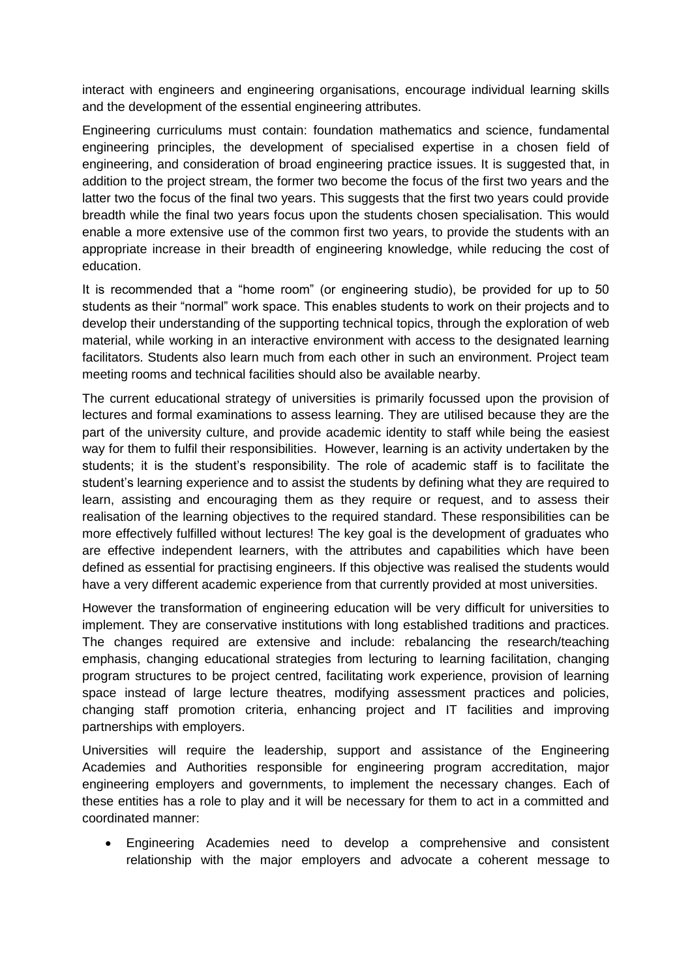interact with engineers and engineering organisations, encourage individual learning skills and the development of the essential engineering attributes.

Engineering curriculums must contain: foundation mathematics and science, fundamental engineering principles, the development of specialised expertise in a chosen field of engineering, and consideration of broad engineering practice issues. It is suggested that, in addition to the project stream, the former two become the focus of the first two years and the latter two the focus of the final two years. This suggests that the first two years could provide breadth while the final two years focus upon the students chosen specialisation. This would enable a more extensive use of the common first two years, to provide the students with an appropriate increase in their breadth of engineering knowledge, while reducing the cost of education.

It is recommended that a "home room" (or engineering studio), be provided for up to 50 students as their "normal" work space. This enables students to work on their projects and to develop their understanding of the supporting technical topics, through the exploration of web material, while working in an interactive environment with access to the designated learning facilitators. Students also learn much from each other in such an environment. Project team meeting rooms and technical facilities should also be available nearby.

The current educational strategy of universities is primarily focussed upon the provision of lectures and formal examinations to assess learning. They are utilised because they are the part of the university culture, and provide academic identity to staff while being the easiest way for them to fulfil their responsibilities. However, learning is an activity undertaken by the students; it is the student's responsibility. The role of academic staff is to facilitate the student's learning experience and to assist the students by defining what they are required to learn, assisting and encouraging them as they require or request, and to assess their realisation of the learning objectives to the required standard. These responsibilities can be more effectively fulfilled without lectures! The key goal is the development of graduates who are effective independent learners, with the attributes and capabilities which have been defined as essential for practising engineers. If this objective was realised the students would have a very different academic experience from that currently provided at most universities.

However the transformation of engineering education will be very difficult for universities to implement. They are conservative institutions with long established traditions and practices. The changes required are extensive and include: rebalancing the research/teaching emphasis, changing educational strategies from lecturing to learning facilitation, changing program structures to be project centred, facilitating work experience, provision of learning space instead of large lecture theatres, modifying assessment practices and policies, changing staff promotion criteria, enhancing project and IT facilities and improving partnerships with employers.

Universities will require the leadership, support and assistance of the Engineering Academies and Authorities responsible for engineering program accreditation, major engineering employers and governments, to implement the necessary changes. Each of these entities has a role to play and it will be necessary for them to act in a committed and coordinated manner:

 Engineering Academies need to develop a comprehensive and consistent relationship with the major employers and advocate a coherent message to